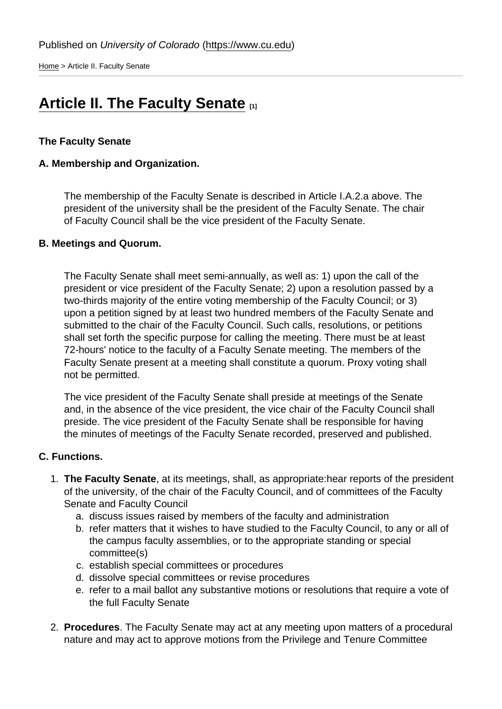[Home](https://www.cu.edu/) > Article II. Faculty Senate

## [Article II. The Faculty Senate](https://www.cu.edu/faculty/constitution-bylaws/constitution/article-ii-faculty-senate) [1]

## The Faculty Senate

A. Membership and Organization.

The membership of the Faculty Senate is described in Article I.A.2.a above. The president of the university shall be the president of the Faculty Senate. The chair of Faculty Council shall be the vice president of the Faculty Senate.

B. Meetings and Quorum.

The Faculty Senate shall meet semi-annually, as well as: 1) upon the call of the president or vice president of the Faculty Senate; 2) upon a resolution passed by a two-thirds majority of the entire voting membership of the Faculty Council; or 3) upon a petition signed by at least two hundred members of the Faculty Senate and submitted to the chair of the Faculty Council. Such calls, resolutions, or petitions shall set forth the specific purpose for calling the meeting. There must be at least 72-hours' notice to the faculty of a Faculty Senate meeting. The members of the Faculty Senate present at a meeting shall constitute a quorum. Proxy voting shall not be permitted.

The vice president of the Faculty Senate shall preside at meetings of the Senate and, in the absence of the vice president, the vice chair of the Faculty Council shall preside. The vice president of the Faculty Senate shall be responsible for having the minutes of meetings of the Faculty Senate recorded, preserved and published.

- C. Functions.
	- 1. The Faculty Senate , at its meetings, shall, as appropriate:hear reports of the president of the university, of the chair of the Faculty Council, and of committees of the Faculty Senate and Faculty Council
		- a. discuss issues raised by members of the faculty and administration
		- b. refer matters that it wishes to have studied to the Faculty Council, to any or all of the campus faculty assemblies, or to the appropriate standing or special committee(s)
		- c. establish special committees or procedures
		- d. dissolve special committees or revise procedures
		- e. refer to a mail ballot any substantive motions or resolutions that require a vote of the full Faculty Senate
	- 2. Procedures . The Faculty Senate may act at any meeting upon matters of a procedural nature and may act to approve motions from the Privilege and Tenure Committee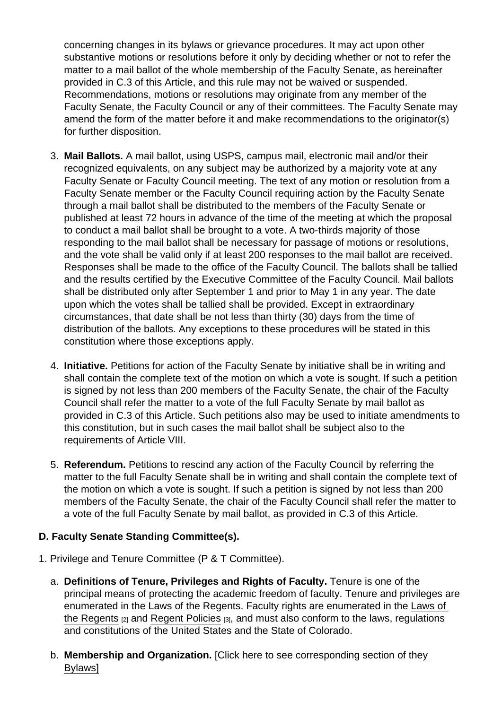concerning changes in its bylaws or grievance procedures. It may act upon other substantive motions or resolutions before it only by deciding whether or not to refer the matter to a mail ballot of the whole membership of the Faculty Senate, as hereinafter provided in C.3 of this Article, and this rule may not be waived or suspended. Recommendations, motions or resolutions may originate from any member of the Faculty Senate, the Faculty Council or any of their committees. The Faculty Senate may amend the form of the matter before it and make recommendations to the originator(s) for further disposition.

- 3. Mail Ballots. A mail ballot, using USPS, campus mail, electronic mail and/or their recognized equivalents, on any subject may be authorized by a majority vote at any Faculty Senate or Faculty Council meeting. The text of any motion or resolution from a Faculty Senate member or the Faculty Council requiring action by the Faculty Senate through a mail ballot shall be distributed to the members of the Faculty Senate or published at least 72 hours in advance of the time of the meeting at which the proposal to conduct a mail ballot shall be brought to a vote. A two-thirds majority of those responding to the mail ballot shall be necessary for passage of motions or resolutions, and the vote shall be valid only if at least 200 responses to the mail ballot are received. Responses shall be made to the office of the Faculty Council. The ballots shall be tallied and the results certified by the Executive Committee of the Faculty Council. Mail ballots shall be distributed only after September 1 and prior to May 1 in any year. The date upon which the votes shall be tallied shall be provided. Except in extraordinary circumstances, that date shall be not less than thirty (30) days from the time of distribution of the ballots. Any exceptions to these procedures will be stated in this constitution where those exceptions apply.
- 4. Initiative. Petitions for action of the Faculty Senate by initiative shall be in writing and shall contain the complete text of the motion on which a vote is sought. If such a petition is signed by not less than 200 members of the Faculty Senate, the chair of the Faculty Council shall refer the matter to a vote of the full Faculty Senate by mail ballot as provided in C.3 of this Article. Such petitions also may be used to initiate amendments to this constitution, but in such cases the mail ballot shall be subject also to the requirements of Article VIII.
- 5. Referendum. Petitions to rescind any action of the Faculty Council by referring the matter to the full Faculty Senate shall be in writing and shall contain the complete text of the motion on which a vote is sought. If such a petition is signed by not less than 200 members of the Faculty Senate, the chair of the Faculty Council shall refer the matter to a vote of the full Faculty Senate by mail ballot, as provided in C.3 of this Article.
- D. Faculty Senate Standing Committee(s).
- 1. Privilege and Tenure Committee (P & T Committee).
	- a. Definitions of Tenure, Privileges and Rights of Faculty. Tenure is one of the principal means of protecting the academic freedom of faculty. Tenure and privileges are enumerated in the Laws of the Regents. Faculty rights are enumerated in the [Laws of](https://www.cu.edu/regents/laws-and-policies/regent-laws)  [the Regents](https://www.cu.edu/regents/laws-and-policies/regent-laws) [2] and [Regent Policies](https://www.cu.edu/regents/regent-policy-0) [3], and must also conform to the laws, regulations and constitutions of the United States and the State of Colorado.
	- b. Membership and Organization. [\[Click here to see corresponding section of they](https://www.cu.edu/faculty-council/laws/section-ii-faculty-senate)  [Bylaws\]](https://www.cu.edu/faculty-council/laws/section-ii-faculty-senate)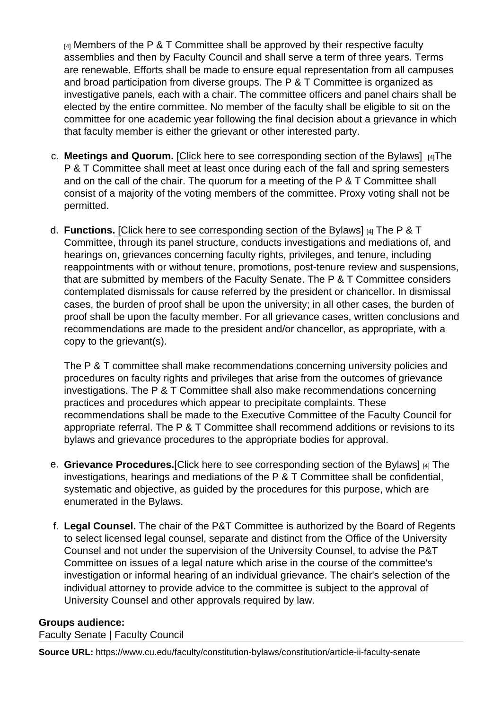$[4]$  Members of the P & T Committee shall be approved by their respective faculty assemblies and then by Faculty Council and shall serve a term of three years. Terms are renewable. Efforts shall be made to ensure equal representation from all campuses and broad participation from diverse groups. The P & T Committee is organized as investigative panels, each with a chair. The committee officers and panel chairs shall be elected by the entire committee. No member of the faculty shall be eligible to sit on the committee for one academic year following the final decision about a grievance in which that faculty member is either the grievant or other interested party.

- c. Meetings and Quorum. [\[Click here to see corresponding section of the Bylaws\]](https://www.cu.edu/faculty-council/laws/section-ii-faculty-senate) [4]The P & T Committee shall meet at least once during each of the fall and spring semesters and on the call of the chair. The quorum for a meeting of the P & T Committee shall consist of a majority of the voting members of the committee. Proxy voting shall not be permitted.
- d. Functions. [\[Click here to see corresponding section of the Bylaws\]](https://www.cu.edu/faculty-council/laws/section-ii-faculty-senate) [4] The P & T Committee, through its panel structure, conducts investigations and mediations of, and hearings on, grievances concerning faculty rights, privileges, and tenure, including reappointments with or without tenure, promotions, post-tenure review and suspensions, that are submitted by members of the Faculty Senate. The P & T Committee considers contemplated dismissals for cause referred by the president or chancellor. In dismissal cases, the burden of proof shall be upon the university; in all other cases, the burden of proof shall be upon the faculty member. For all grievance cases, written conclusions and recommendations are made to the president and/or chancellor, as appropriate, with a copy to the grievant(s).

The P & T committee shall make recommendations concerning university policies and procedures on faculty rights and privileges that arise from the outcomes of grievance investigations. The P & T Committee shall also make recommendations concerning practices and procedures which appear to precipitate complaints. These recommendations shall be made to the Executive Committee of the Faculty Council for appropriate referral. The P & T Committee shall recommend additions or revisions to its bylaws and grievance procedures to the appropriate bodies for approval.

- e. Grievance Procedures. [\[Click here to see corresponding section of the Bylaws\]](https://www.cu.edu/faculty-council/laws/section-ii-faculty-senate) [4] The investigations, hearings and mediations of the P & T Committee shall be confidential, systematic and objective, as guided by the procedures for this purpose, which are enumerated in the Bylaws.
- f. Legal Counsel. The chair of the P&T Committee is authorized by the Board of Regents to select licensed legal counsel, separate and distinct from the Office of the University Counsel and not under the supervision of the University Counsel, to advise the P&T Committee on issues of a legal nature which arise in the course of the committee's investigation or informal hearing of an individual grievance. The chair's selection of the individual attorney to provide advice to the committee is subject to the approval of University Counsel and other approvals required by law.

Groups audience: Faculty Senate | Faculty Council

Source URL: https://www.cu.edu/faculty/constitution-bylaws/constitution/article-ii-faculty-senate